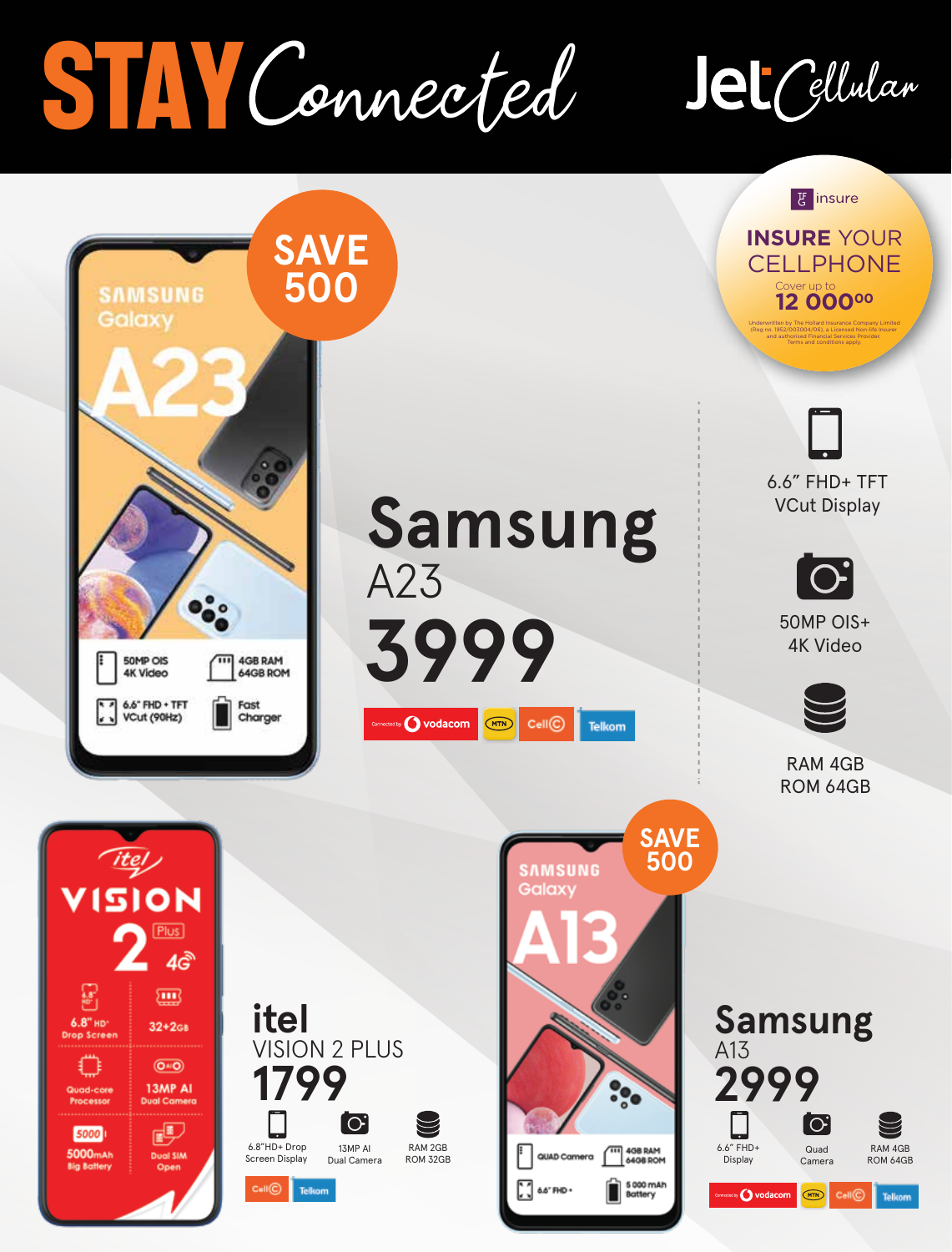## **stay** onnected

## Jet Cellular